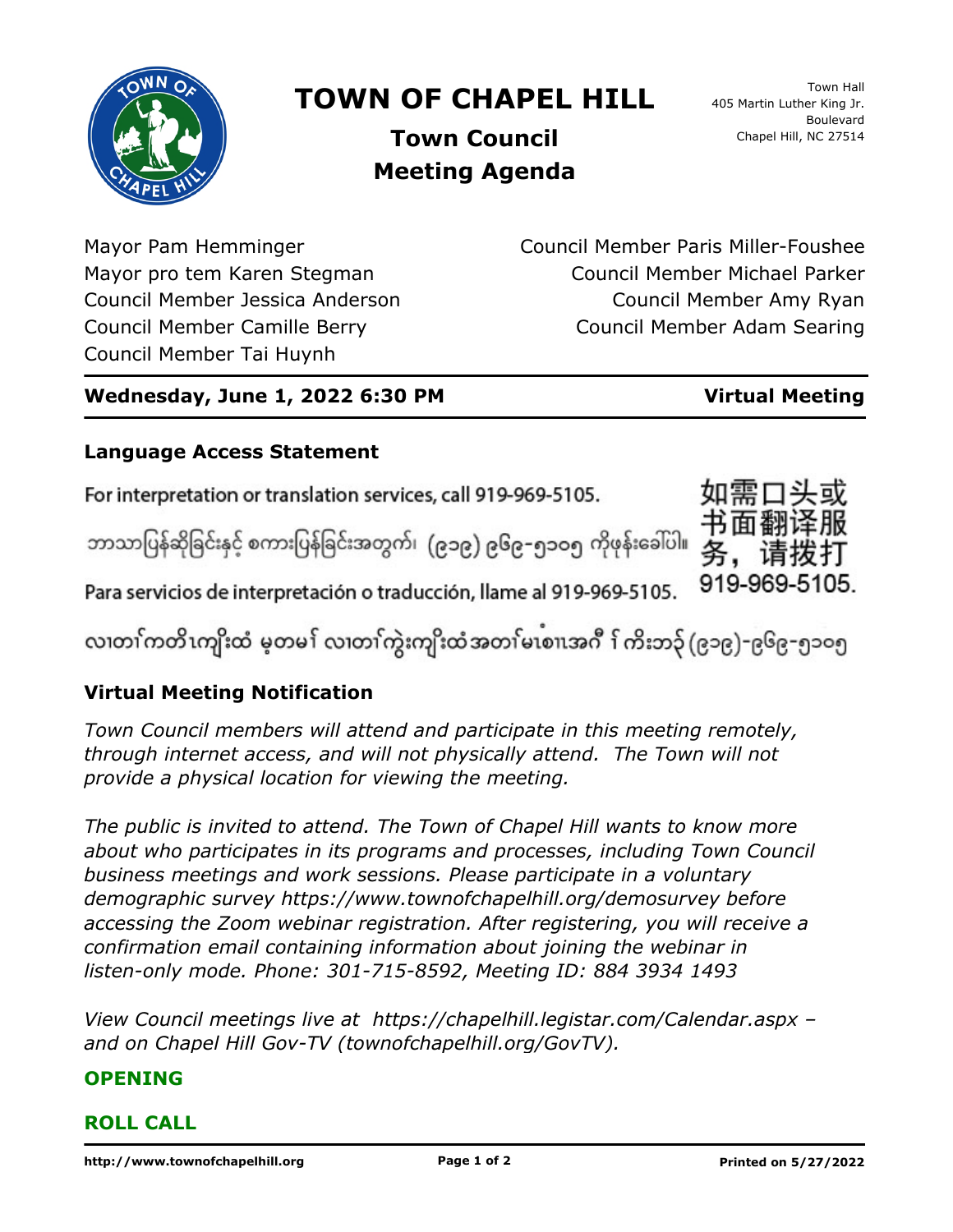

# **TOWN OF CHAPEL HILL**

Town Hall 405 Martin Luther King Jr. Boulevard Chapel Hill, NC 27514

**Town Council Meeting Agenda**

Mayor Pam Hemminger Mayor pro tem Karen Stegman Council Member Jessica Anderson Council Member Camille Berry Council Member Tai Huynh

Council Member Paris Miller-Foushee Council Member Michael Parker Council Member Amy Ryan Council Member Adam Searing

### **Wednesday, June 1, 2022 6:30 PM Virtual Meeting**

919-969-5105.

## **Language Access Statement**

For interpretation or translation services, call 919-969-5105.

ဘာသာပြန်ဆိုခြင်းနှင့် စကားပြန်ခြင်းအတွက်၊ (၉၁၉) ၉၆၉–၅၁ဝ၅ ကိုဖုန်းခေါ်ပါ။

Para servicios de interpretación o traducción, llame al 919-969-5105.

လ၊တၢ်ကတိၤကျိးထံ မ့တမ႑် လ၊တၢ်ကွဲးကျိးထံအတၤ်မၤစၢ၊အဂီ ႑်ကိးဘ၃် (၉၁၉)-၉၆၉-၅၁၀၅

### **Virtual Meeting Notification**

*Town Council members will attend and participate in this meeting remotely, through internet access, and will not physically attend. The Town will not provide a physical location for viewing the meeting.*

*The public is invited to attend. The Town of Chapel Hill wants to know more about who participates in its programs and processes, including Town Council business meetings and work sessions. Please participate in a voluntary demographic survey https://www.townofchapelhill.org/demosurvey before accessing the Zoom webinar registration. After registering, you will receive a confirmation email containing information about joining the webinar in listen-only mode. Phone: 301-715-8592, Meeting ID: 884 3934 1493*

*View Council meetings live at https://chapelhill.legistar.com/Calendar.aspx – and on Chapel Hill Gov-TV (townofchapelhill.org/GovTV).*

### **OPENING**

### **ROLL CALL**